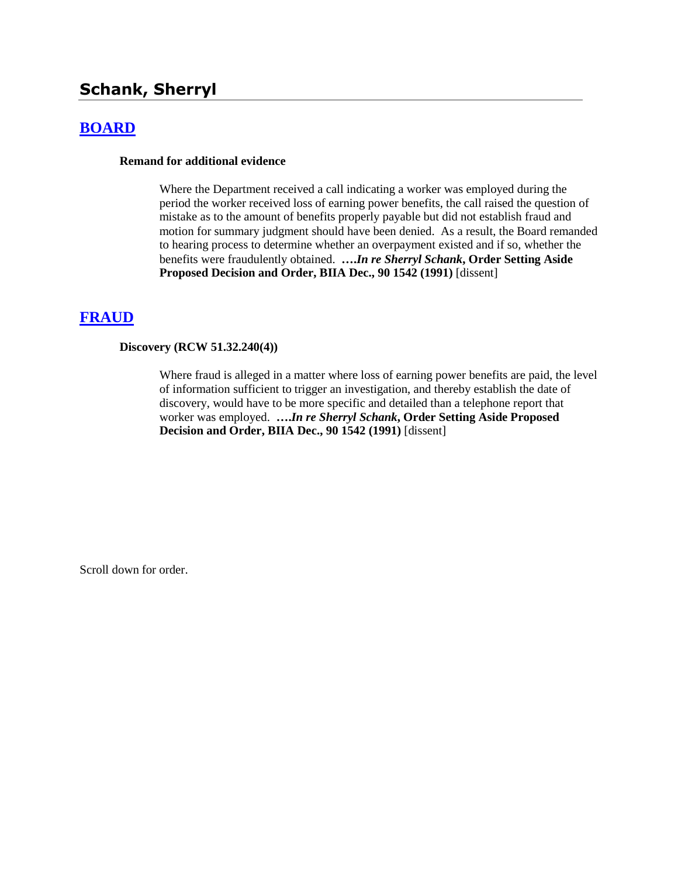# **Schank, Sherryl**

## **[BOARD](http://www.biia.wa.gov/SDSubjectIndex.html#BOARD)**

#### **Remand for additional evidence**

Where the Department received a call indicating a worker was employed during the period the worker received loss of earning power benefits, the call raised the question of mistake as to the amount of benefits properly payable but did not establish fraud and motion for summary judgment should have been denied. As a result, the Board remanded to hearing process to determine whether an overpayment existed and if so, whether the benefits were fraudulently obtained. **….***In re Sherryl Schank***, Order Setting Aside Proposed Decision and Order, BIIA Dec., 90 1542 (1991)** [dissent]

### **[FRAUD](http://www.biia.wa.gov/SDSubjectIndex.html#FRAUD)**

#### **Discovery (RCW 51.32.240(4))**

Where fraud is alleged in a matter where loss of earning power benefits are paid, the level of information sufficient to trigger an investigation, and thereby establish the date of discovery, would have to be more specific and detailed than a telephone report that worker was employed. **….***In re Sherryl Schank***, Order Setting Aside Proposed Decision and Order, BIIA Dec., 90 1542 (1991)** [dissent]

Scroll down for order.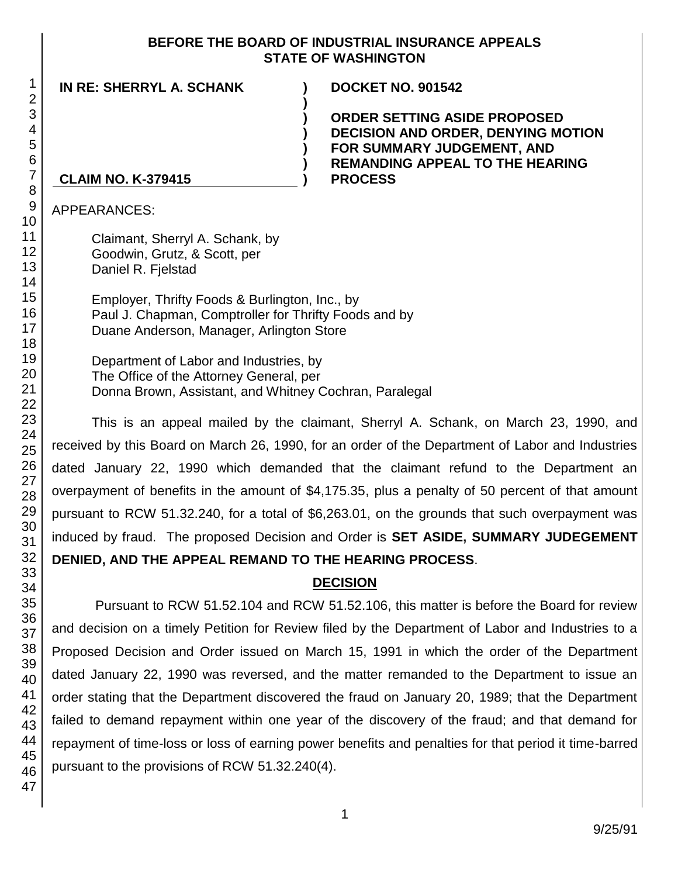### **BEFORE THE BOARD OF INDUSTRIAL INSURANCE APPEALS STATE OF WASHINGTON**

**) ) ) )**

**) )**

**IN RE: SHERRYL A. SCHANK ) DOCKET NO. 901542**

**ORDER SETTING ASIDE PROPOSED DECISION AND ORDER, DENYING MOTION FOR SUMMARY JUDGEMENT, AND REMANDING APPEAL TO THE HEARING PROCESS**

### **CLAIM NO. K-379415**

APPEARANCES:

Claimant, Sherryl A. Schank, by Goodwin, Grutz, & Scott, per Daniel R. Fjelstad

Employer, Thrifty Foods & Burlington, Inc., by Paul J. Chapman, Comptroller for Thrifty Foods and by Duane Anderson, Manager, Arlington Store

Department of Labor and Industries, by The Office of the Attorney General, per Donna Brown, Assistant, and Whitney Cochran, Paralegal

This is an appeal mailed by the claimant, Sherryl A. Schank, on March 23, 1990, and received by this Board on March 26, 1990, for an order of the Department of Labor and Industries dated January 22, 1990 which demanded that the claimant refund to the Department an overpayment of benefits in the amount of \$4,175.35, plus a penalty of 50 percent of that amount pursuant to RCW 51.32.240, for a total of \$6,263.01, on the grounds that such overpayment was induced by fraud. The proposed Decision and Order is **SET ASIDE, SUMMARY JUDEGEMENT DENIED, AND THE APPEAL REMAND TO THE HEARING PROCESS**.

## **DECISION**

Pursuant to RCW 51.52.104 and RCW 51.52.106, this matter is before the Board for review and decision on a timely Petition for Review filed by the Department of Labor and Industries to a Proposed Decision and Order issued on March 15, 1991 in which the order of the Department dated January 22, 1990 was reversed, and the matter remanded to the Department to issue an order stating that the Department discovered the fraud on January 20, 1989; that the Department failed to demand repayment within one year of the discovery of the fraud; and that demand for repayment of time-loss or loss of earning power benefits and penalties for that period it time-barred pursuant to the provisions of RCW 51.32.240(4).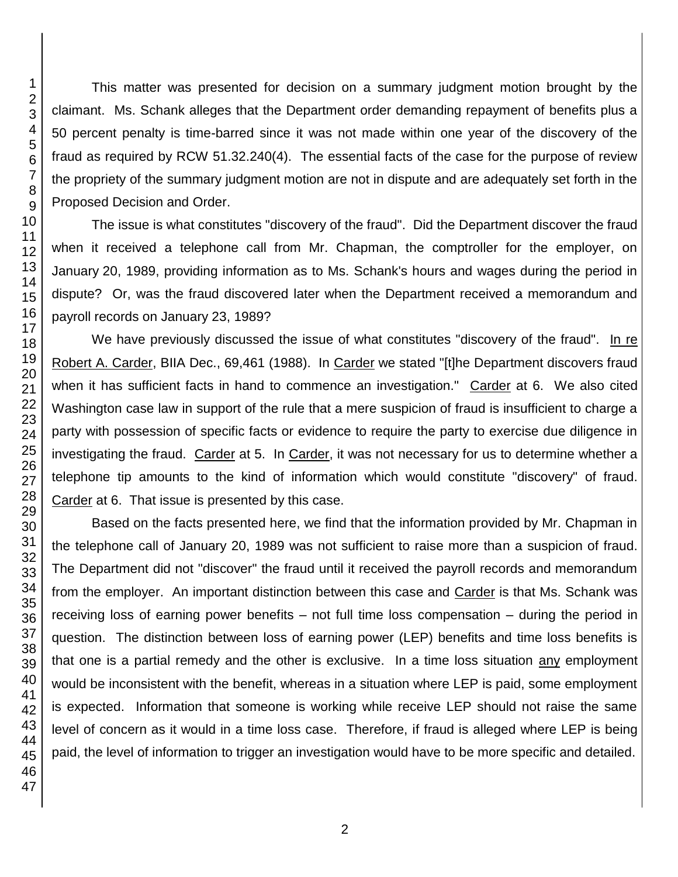This matter was presented for decision on a summary judgment motion brought by the claimant. Ms. Schank alleges that the Department order demanding repayment of benefits plus a 50 percent penalty is time-barred since it was not made within one year of the discovery of the fraud as required by RCW 51.32.240(4). The essential facts of the case for the purpose of review the propriety of the summary judgment motion are not in dispute and are adequately set forth in the Proposed Decision and Order.

The issue is what constitutes "discovery of the fraud". Did the Department discover the fraud when it received a telephone call from Mr. Chapman, the comptroller for the employer, on January 20, 1989, providing information as to Ms. Schank's hours and wages during the period in dispute? Or, was the fraud discovered later when the Department received a memorandum and payroll records on January 23, 1989?

We have previously discussed the issue of what constitutes "discovery of the fraud". In re Robert A. Carder, BIIA Dec., 69,461 (1988). In Carder we stated "[t]he Department discovers fraud when it has sufficient facts in hand to commence an investigation." Carder at 6. We also cited Washington case law in support of the rule that a mere suspicion of fraud is insufficient to charge a party with possession of specific facts or evidence to require the party to exercise due diligence in investigating the fraud. Carder at 5. In Carder, it was not necessary for us to determine whether a telephone tip amounts to the kind of information which would constitute "discovery" of fraud. Carder at 6. That issue is presented by this case.

Based on the facts presented here, we find that the information provided by Mr. Chapman in the telephone call of January 20, 1989 was not sufficient to raise more than a suspicion of fraud. The Department did not "discover" the fraud until it received the payroll records and memorandum from the employer. An important distinction between this case and Carder is that Ms. Schank was receiving loss of earning power benefits – not full time loss compensation – during the period in question. The distinction between loss of earning power (LEP) benefits and time loss benefits is that one is a partial remedy and the other is exclusive. In a time loss situation any employment would be inconsistent with the benefit, whereas in a situation where LEP is paid, some employment is expected. Information that someone is working while receive LEP should not raise the same level of concern as it would in a time loss case. Therefore, if fraud is alleged where LEP is being paid, the level of information to trigger an investigation would have to be more specific and detailed.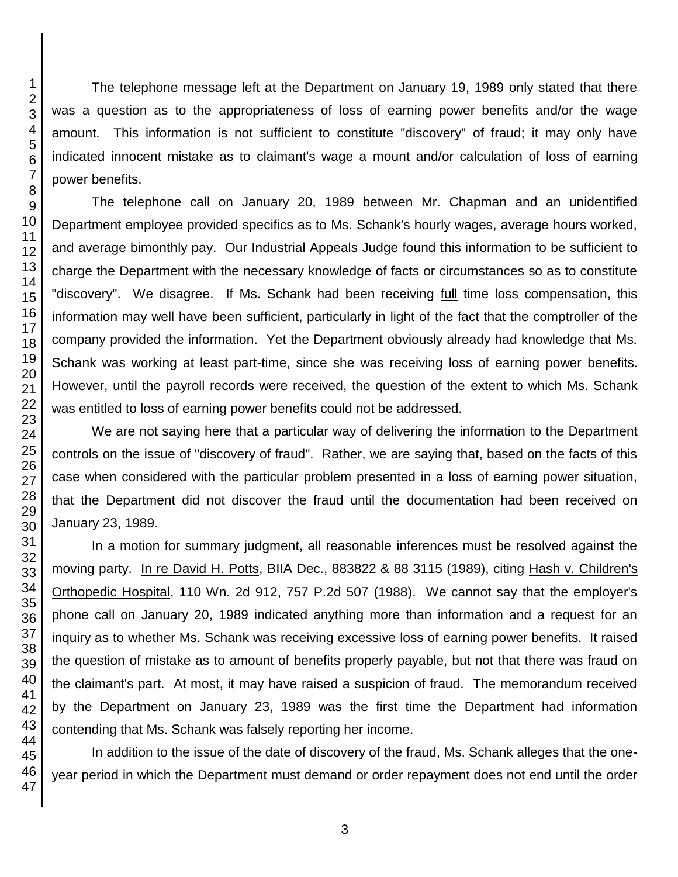The telephone message left at the Department on January 19, 1989 only stated that there was a question as to the appropriateness of loss of earning power benefits and/or the wage amount. This information is not sufficient to constitute "discovery" of fraud; it may only have indicated innocent mistake as to claimant's wage a mount and/or calculation of loss of earning power benefits.

The telephone call on January 20, 1989 between Mr. Chapman and an unidentified Department employee provided specifics as to Ms. Schank's hourly wages, average hours worked, and average bimonthly pay. Our Industrial Appeals Judge found this information to be sufficient to charge the Department with the necessary knowledge of facts or circumstances so as to constitute "discovery". We disagree. If Ms. Schank had been receiving full time loss compensation, this information may well have been sufficient, particularly in light of the fact that the comptroller of the company provided the information. Yet the Department obviously already had knowledge that Ms. Schank was working at least part-time, since she was receiving loss of earning power benefits. However, until the payroll records were received, the question of the extent to which Ms. Schank was entitled to loss of earning power benefits could not be addressed.

We are not saying here that a particular way of delivering the information to the Department controls on the issue of "discovery of fraud". Rather, we are saying that, based on the facts of this case when considered with the particular problem presented in a loss of earning power situation, that the Department did not discover the fraud until the documentation had been received on January 23, 1989.

In a motion for summary judgment, all reasonable inferences must be resolved against the moving party. In re David H. Potts, BIIA Dec., 883822 & 88 3115 (1989), citing Hash v. Children's Orthopedic Hospital, 110 Wn. 2d 912, 757 P.2d 507 (1988). We cannot say that the employer's phone call on January 20, 1989 indicated anything more than information and a request for an inquiry as to whether Ms. Schank was receiving excessive loss of earning power benefits. It raised the question of mistake as to amount of benefits properly payable, but not that there was fraud on the claimant's part. At most, it may have raised a suspicion of fraud. The memorandum received by the Department on January 23, 1989 was the first time the Department had information contending that Ms. Schank was falsely reporting her income.

In addition to the issue of the date of discovery of the fraud, Ms. Schank alleges that the oneyear period in which the Department must demand or order repayment does not end until the order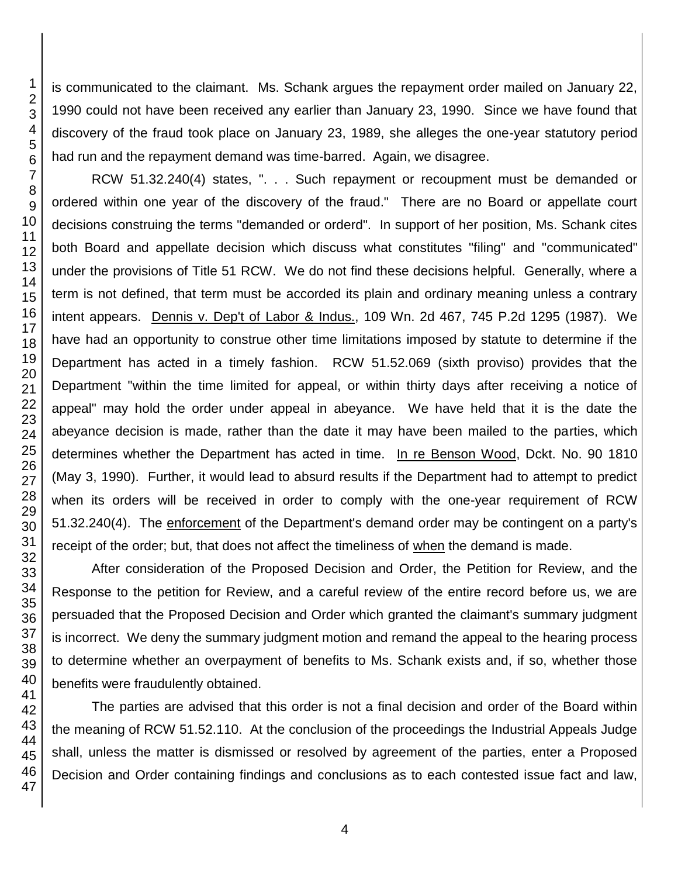is communicated to the claimant. Ms. Schank argues the repayment order mailed on January 22, 1990 could not have been received any earlier than January 23, 1990. Since we have found that discovery of the fraud took place on January 23, 1989, she alleges the one-year statutory period had run and the repayment demand was time-barred. Again, we disagree.

RCW 51.32.240(4) states, ". . . Such repayment or recoupment must be demanded or ordered within one year of the discovery of the fraud." There are no Board or appellate court decisions construing the terms "demanded or orderd". In support of her position, Ms. Schank cites both Board and appellate decision which discuss what constitutes "filing" and "communicated" under the provisions of Title 51 RCW. We do not find these decisions helpful. Generally, where a term is not defined, that term must be accorded its plain and ordinary meaning unless a contrary intent appears. Dennis v. Dep't of Labor & Indus., 109 Wn. 2d 467, 745 P.2d 1295 (1987). We have had an opportunity to construe other time limitations imposed by statute to determine if the Department has acted in a timely fashion. RCW 51.52.069 (sixth proviso) provides that the Department "within the time limited for appeal, or within thirty days after receiving a notice of appeal" may hold the order under appeal in abeyance. We have held that it is the date the abeyance decision is made, rather than the date it may have been mailed to the parties, which determines whether the Department has acted in time. In re Benson Wood, Dckt. No. 90 1810 (May 3, 1990). Further, it would lead to absurd results if the Department had to attempt to predict when its orders will be received in order to comply with the one-year requirement of RCW 51.32.240(4). The enforcement of the Department's demand order may be contingent on a party's receipt of the order; but, that does not affect the timeliness of when the demand is made.

After consideration of the Proposed Decision and Order, the Petition for Review, and the Response to the petition for Review, and a careful review of the entire record before us, we are persuaded that the Proposed Decision and Order which granted the claimant's summary judgment is incorrect. We deny the summary judgment motion and remand the appeal to the hearing process to determine whether an overpayment of benefits to Ms. Schank exists and, if so, whether those benefits were fraudulently obtained.

The parties are advised that this order is not a final decision and order of the Board within the meaning of RCW 51.52.110. At the conclusion of the proceedings the Industrial Appeals Judge shall, unless the matter is dismissed or resolved by agreement of the parties, enter a Proposed Decision and Order containing findings and conclusions as to each contested issue fact and law,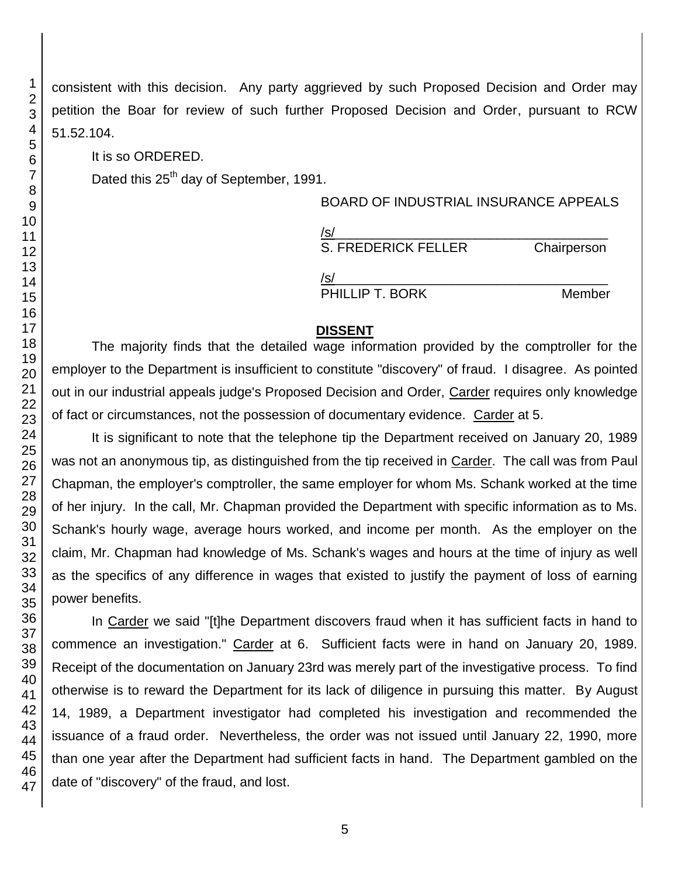consistent with this decision. Any party aggrieved by such Proposed Decision and Order may petition the Boar for review of such further Proposed Decision and Order, pursuant to RCW 51.52.104.

It is so ORDERED.

Dated this 25<sup>th</sup> day of September, 1991.

#### BOARD OF INDUSTRIAL INSURANCE APPEALS

| Chairperson |
|-------------|
|             |
|             |
| Member      |
|             |

### **DISSENT**

The majority finds that the detailed wage information provided by the comptroller for the employer to the Department is insufficient to constitute "discovery" of fraud. I disagree. As pointed out in our industrial appeals judge's Proposed Decision and Order, Carder requires only knowledge of fact or circumstances, not the possession of documentary evidence. Carder at 5.

It is significant to note that the telephone tip the Department received on January 20, 1989 was not an anonymous tip, as distinguished from the tip received in Carder. The call was from Paul Chapman, the employer's comptroller, the same employer for whom Ms. Schank worked at the time of her injury. In the call, Mr. Chapman provided the Department with specific information as to Ms. Schank's hourly wage, average hours worked, and income per month. As the employer on the claim, Mr. Chapman had knowledge of Ms. Schank's wages and hours at the time of injury as well as the specifics of any difference in wages that existed to justify the payment of loss of earning power benefits.

In Carder we said "[t]he Department discovers fraud when it has sufficient facts in hand to commence an investigation." Carder at 6. Sufficient facts were in hand on January 20, 1989. Receipt of the documentation on January 23rd was merely part of the investigative process. To find otherwise is to reward the Department for its lack of diligence in pursuing this matter. By August 14, 1989, a Department investigator had completed his investigation and recommended the issuance of a fraud order. Nevertheless, the order was not issued until January 22, 1990, more than one year after the Department had sufficient facts in hand. The Department gambled on the date of "discovery" of the fraud, and lost.